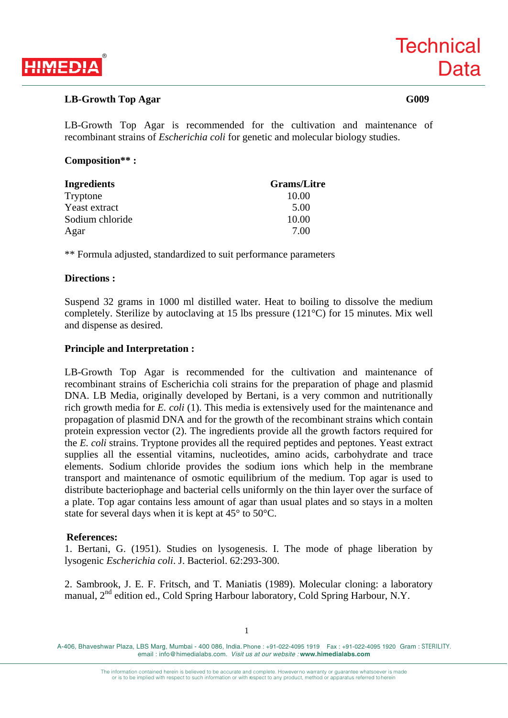

### **LB-Growth Top Agar G009**

LB-Growth Top Agar is recommended for the cultivation and maintenance of recombinant strains of *Escherichia coli* for genetic and molecular biology studies.

#### **Composition\*\* :**

| Ingredients     | <b>Grams/Litre</b> |
|-----------------|--------------------|
| Tryptone        | 10.00              |
| Yeast extract   | 5.00               |
| Sodium chloride | 10.00              |
| Agar            | 7.00               |

\*\* Formula adjusted, standardized to suit performance parameters

#### **Directions :**

Suspend 32 grams in 1000 ml distilled water. Heat to boiling to dissolve the medium completely. Sterilize by autoclaving at 15 lbs pressure (121°C) for 15 minutes. Mix well and dispense as desired.

#### **Principle and Interpretation :**

LB-Growth Top Agar is recommended for the cultivation and maintenance of recombinant strains of Escherichia coli strains for the preparation of phage and plasmid DNA. LB Media, originally developed by Bertani, is a very common and nutritionally rich growth media for *E. coli* (1). This media is extensively used for the maintenance and propagation of plasmid DNA and for the growth of the recombinant strains which contain protein expression vector (2). The ingredients provide all the growth factors required for the *E. coli* strains. Tryptone provides all the required peptides and peptones. Yeast extract supplies all the essential vitamins, nucleotides, amino acids, carbohydrate and trace elements. Sodium chloride provides the sodium ions which help in the membrane transport and maintenance of osmotic equilibrium of the medium. Top agar is used to distribute bacteriophage and bacterial cells uniformly on the thin layer over the surface of a plate. Top agar contains less amount of agar than usual plates and so stays in a molten state for several days when it is kept at 45° to 50°C.

#### **References:**

1. Bertani, G. (1951). Studies on lysogenesis. I. The mode of phage liberation by lysogenic *Escherichia coli*. J. Bacteriol. 62:293-300.

2. Sambrook, J. E. F. Fritsch, and T. Maniatis (1989). Molecular cloning: a laboratory manual, 2<sup>nd</sup> edition ed., Cold Spring Harbour laboratory, Cold Spring Harbour, N.Y.

1

A-406, Bhaveshwar Plaza, LBS Marg, Mumbai - 400 086, India. Phone : +91-022-4095 1919 Fax : +91-022-4095 1920 Gram : STERILITY. email : info@himedialabs.com. *Visit us at our website :* **www.himedialabs.com**